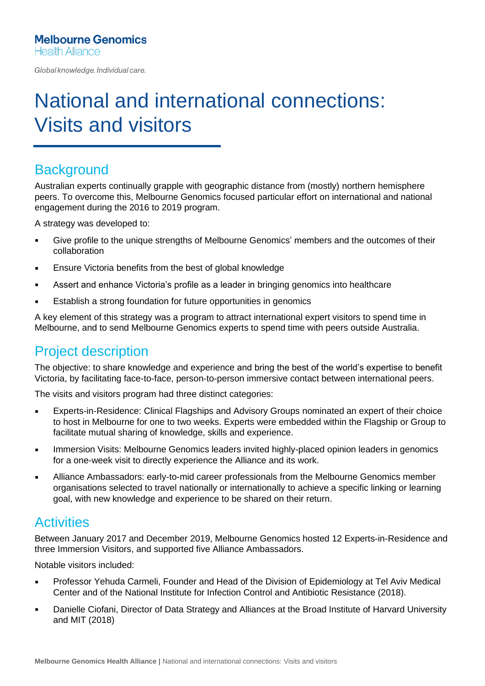Global knowledge. Individual care.

# National and international connections: Visits and visitors

#### **Background**

Australian experts continually grapple with geographic distance from (mostly) northern hemisphere peers. To overcome this, Melbourne Genomics focused particular effort on international and national engagement during the 2016 to 2019 program.

A strategy was developed to:

- **•** Give profile to the unique strengths of Melbourne Genomics' members and the outcomes of their collaboration
- **Ensure Victoria benefits from the best of global knowledge**
- **EXECT** Assert and enhance Victoria's profile as a leader in bringing genomics into healthcare
- Establish a strong foundation for future opportunities in genomics

A key element of this strategy was a program to attract international expert visitors to spend time in Melbourne, and to send Melbourne Genomics experts to spend time with peers outside Australia.

### Project description

The objective: to share knowledge and experience and bring the best of the world's expertise to benefit Victoria, by facilitating face-to-face, person-to-person immersive contact between international peers.

The visits and visitors program had three distinct categories:

- Experts-in-Residence: Clinical Flagships and Advisory Groups nominated an expert of their choice to host in Melbourne for one to two weeks. Experts were embedded within the Flagship or Group to facilitate mutual sharing of knowledge, skills and experience.
- **EXEDERITHER IMMERGIST IMMORY IS A THE IMMORY IN A THE IMMORY IS A THE INCORDITY IN A THE IMMORY IS A THE IMMORY IS A THE IMMORY IS A THE IMMORY IS A THE IMMORY IS A THE IMMORY IS A THE IMMORY IS A THE IMMORY IS A THE IMMO** for a one-week visit to directly experience the Alliance and its work.
- **EXED Alliance Ambassadors: early-to-mid career professionals from the Melbourne Genomics member** organisations selected to travel nationally or internationally to achieve a specific linking or learning goal, with new knowledge and experience to be shared on their return.

#### **Activities**

Between January 2017 and December 2019, Melbourne Genomics hosted 12 Experts-in-Residence and three Immersion Visitors, and supported five Alliance Ambassadors.

Notable visitors included:

- **Professor Yehuda Carmeli, Founder and Head of the Division of Epidemiology at Tel Aviv Medical** Center and of the National Institute for Infection Control and Antibiotic Resistance (2018).
- **Danielle Ciofani, Director of Data Strategy and Alliances at the Broad Institute of Harvard University** and MIT (2018)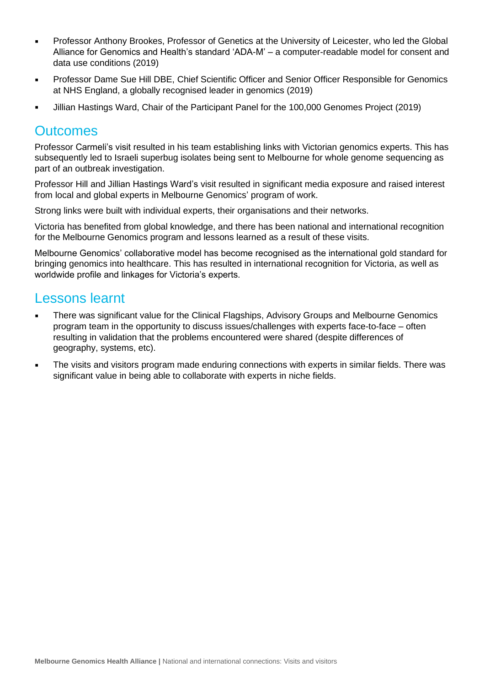- Professor Anthony Brookes, Professor of Genetics at the University of Leicester, who led the Global Alliance for Genomics and Health's standard 'ADA-M' – a computer-readable model for consent and data use conditions (2019)
- Professor Dame Sue Hill DBE, Chief Scientific Officer and Senior Officer Responsible for Genomics at NHS England, a globally recognised leader in genomics (2019)
- Jillian Hastings Ward, Chair of the Participant Panel for the 100,000 Genomes Project (2019)

#### **Outcomes**

Professor Carmeli's visit resulted in his team establishing links with Victorian genomics experts. This has subsequently led to Israeli superbug isolates being sent to Melbourne for whole genome sequencing as part of an outbreak investigation.

Professor Hill and Jillian Hastings Ward's visit resulted in significant media exposure and raised interest from local and global experts in Melbourne Genomics' program of work.

Strong links were built with individual experts, their organisations and their networks.

Victoria has benefited from global knowledge, and there has been national and international recognition for the Melbourne Genomics program and lessons learned as a result of these visits.

Melbourne Genomics' collaborative model has become recognised as the international gold standard for bringing genomics into healthcare. This has resulted in international recognition for Victoria, as well as worldwide profile and linkages for Victoria's experts.

#### Lessons learnt

- There was significant value for the Clinical Flagships, Advisory Groups and Melbourne Genomics program team in the opportunity to discuss issues/challenges with experts face-to-face – often resulting in validation that the problems encountered were shared (despite differences of geography, systems, etc).
- **•** The visits and visitors program made enduring connections with experts in similar fields. There was significant value in being able to collaborate with experts in niche fields.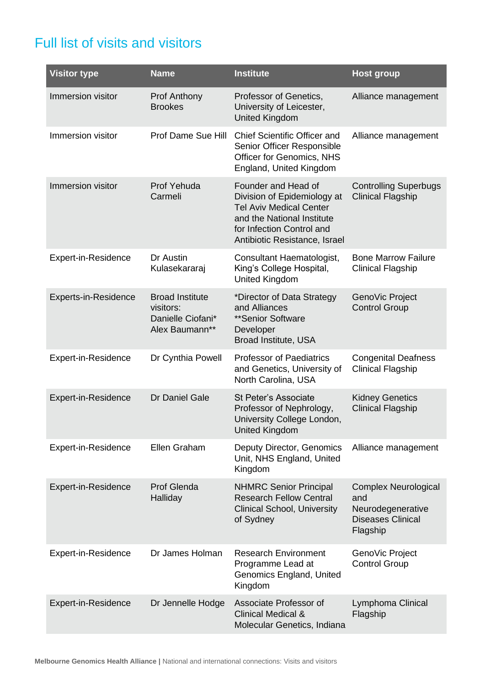## Full list of visits and visitors

| <b>Visitor type</b>  | <b>Name</b>                                                                | <b>Institute</b>                                                                                                                                                                 | <b>Host group</b>                                                                               |
|----------------------|----------------------------------------------------------------------------|----------------------------------------------------------------------------------------------------------------------------------------------------------------------------------|-------------------------------------------------------------------------------------------------|
| Immersion visitor    | <b>Prof Anthony</b><br><b>Brookes</b>                                      | Professor of Genetics,<br>University of Leicester,<br><b>United Kingdom</b>                                                                                                      | Alliance management                                                                             |
| Immersion visitor    | Prof Dame Sue Hill                                                         | <b>Chief Scientific Officer and</b><br>Senior Officer Responsible<br>Officer for Genomics, NHS<br>England, United Kingdom                                                        | Alliance management                                                                             |
| Immersion visitor    | Prof Yehuda<br>Carmeli                                                     | Founder and Head of<br>Division of Epidemiology at<br><b>Tel Aviv Medical Center</b><br>and the National Institute<br>for Infection Control and<br>Antibiotic Resistance, Israel | <b>Controlling Superbugs</b><br><b>Clinical Flagship</b>                                        |
| Expert-in-Residence  | Dr Austin<br>Kulasekararaj                                                 | Consultant Haematologist,<br>King's College Hospital,<br><b>United Kingdom</b>                                                                                                   | <b>Bone Marrow Failure</b><br><b>Clinical Flagship</b>                                          |
| Experts-in-Residence | <b>Broad Institute</b><br>visitors:<br>Danielle Ciofani*<br>Alex Baumann** | *Director of Data Strategy<br>and Alliances<br>**Senior Software<br>Developer<br>Broad Institute, USA                                                                            | GenoVic Project<br><b>Control Group</b>                                                         |
| Expert-in-Residence  | Dr Cynthia Powell                                                          | <b>Professor of Paediatrics</b><br>and Genetics, University of<br>North Carolina, USA                                                                                            | <b>Congenital Deafness</b><br><b>Clinical Flagship</b>                                          |
| Expert-in-Residence  | Dr Daniel Gale                                                             | St Peter's Associate<br>Professor of Nephrology,<br>University College London,<br><b>United Kingdom</b>                                                                          | <b>Kidney Genetics</b><br><b>Clinical Flagship</b>                                              |
| Expert-in-Residence  | Ellen Graham                                                               | <b>Deputy Director, Genomics</b><br>Unit, NHS England, United<br>Kingdom                                                                                                         | Alliance management                                                                             |
| Expert-in-Residence  | <b>Prof Glenda</b><br>Halliday                                             | <b>NHMRC Senior Principal</b><br><b>Research Fellow Central</b><br><b>Clinical School, University</b><br>of Sydney                                                               | <b>Complex Neurological</b><br>and<br>Neurodegenerative<br><b>Diseases Clinical</b><br>Flagship |
| Expert-in-Residence  | Dr James Holman                                                            | <b>Research Environment</b><br>Programme Lead at<br>Genomics England, United<br>Kingdom                                                                                          | GenoVic Project<br><b>Control Group</b>                                                         |
| Expert-in-Residence  | Dr Jennelle Hodge                                                          | Associate Professor of<br><b>Clinical Medical &amp;</b><br>Molecular Genetics, Indiana                                                                                           | Lymphoma Clinical<br>Flagship                                                                   |